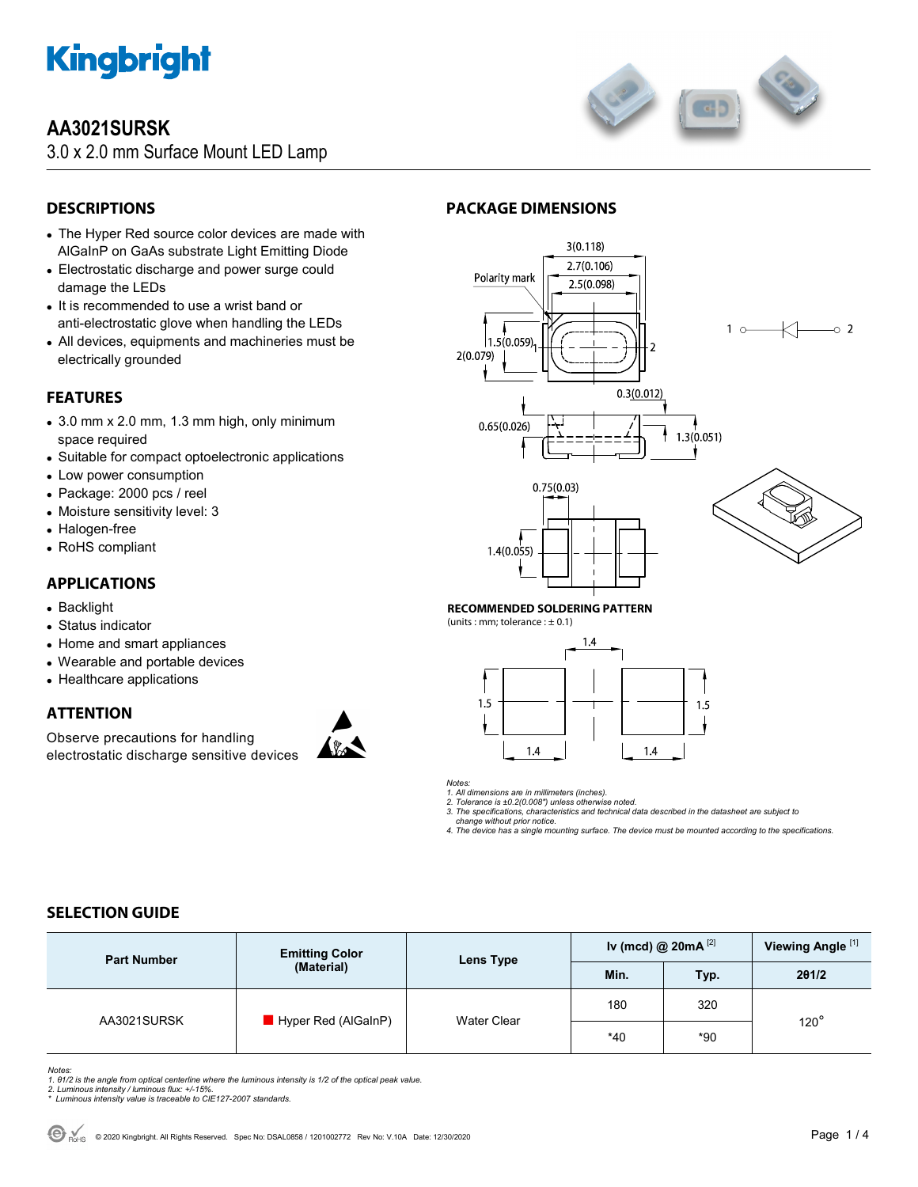

# **AA3021SURSK**

3.0 x 2.0 mm Surface Mount LED Lamp



# **DESCRIPTIONS**

- The Hyper Red source color devices are made with AlGaInP on GaAs substrate Light Emitting Diode
- Electrostatic discharge and power surge could damage the LEDs
- It is recommended to use a wrist band or anti-electrostatic glove when handling the LEDs
- All devices, equipments and machineries must be electrically grounded

### **FEATURES**

- 3.0 mm x 2.0 mm, 1.3 mm high, only minimum space required
- Suitable for compact optoelectronic applications
- Low power consumption
- Package: 2000 pcs / reel
- Moisture sensitivity level: 3
- Halogen-free
- RoHS compliant

### **APPLICATIONS**

- Backlight
- Status indicator
- Home and smart appliances
- Wearable and portable devices
- Healthcare applications

#### **ATTENTION**

Observe precautions for handling electrostatic discharge sensitive devices



## **PACKAGE DIMENSIONS**



#### **RECOMMENDED SOLDERING PATTERN**

(units : mm; tolerance :  $\pm$  0.1)



*Notes:* 

*1. All dimensions are in millimeters (inches). 2. Tolerance is ±0.2(0.008") unless otherwise noted.* 

*3. The specifications, characteristics and technical data described in the datasheet are subject to* 

 *change without prior notice.* 

*4. The device has a single mounting surface. The device must be mounted according to the specifications.* 

### **SELECTION GUIDE**

| <b>Part Number</b> | <b>Emitting Color</b><br>(Material) | Lens Type          | Iv (mcd) @ $20mA$ <sup>[2]</sup> |       | Viewing Angle <sup>[1]</sup> |
|--------------------|-------------------------------------|--------------------|----------------------------------|-------|------------------------------|
|                    |                                     |                    | Min.                             | Typ.  | 201/2                        |
| AA3021SURSK        | Hyper Red (AlGaInP)                 | <b>Water Clear</b> | 180                              | 320   | $120^\circ$                  |
|                    |                                     |                    | $*40$                            | $*90$ |                              |

Notes:<br>1. 61/2 is the angle from optical centerline where the luminous intensity is 1/2 of the optical peak value.<br>2. Luminous intensity / luminous flux: +/-15%.<br>\* Luminous intensity value is traceable to CIE127-2007 stand

- 
-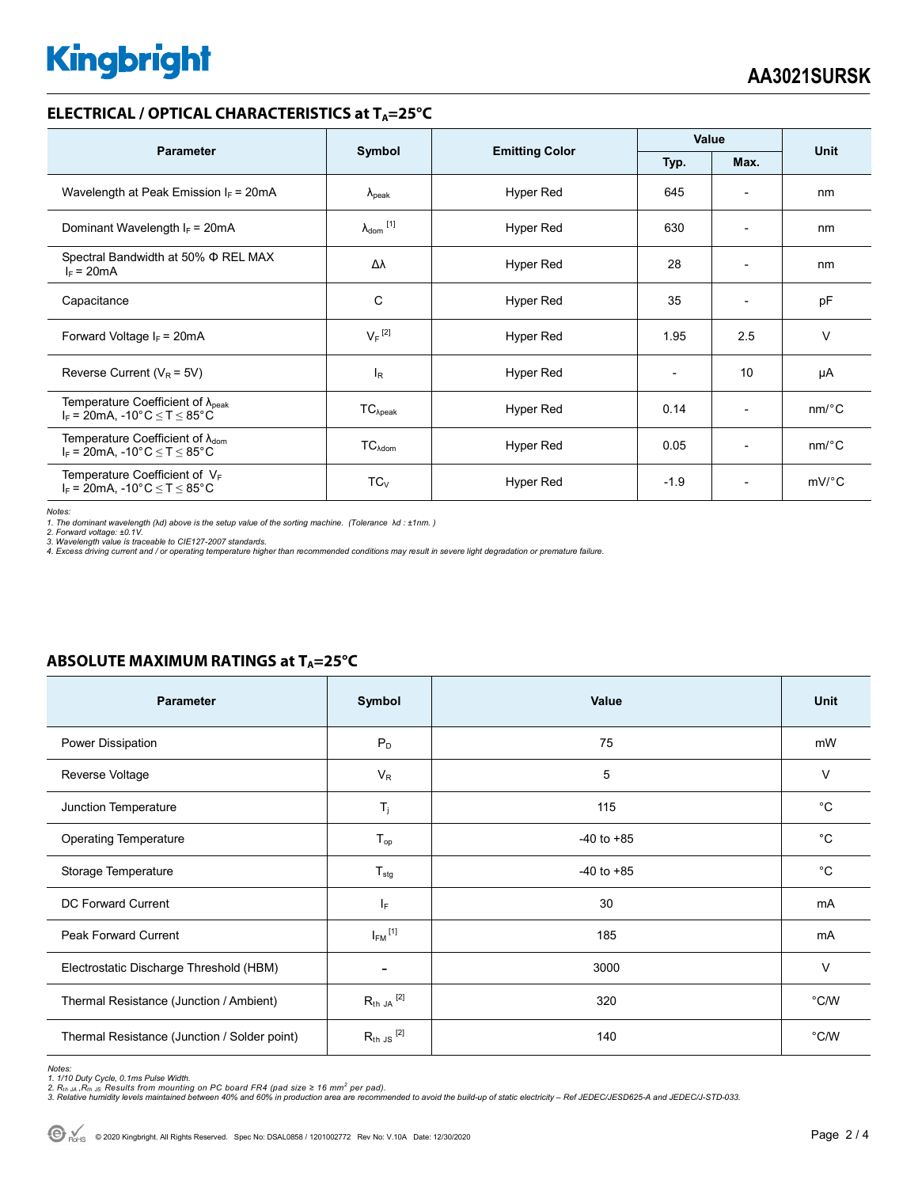# **Kingbright**

#### **ELECTRICAL / OPTICAL CHARACTERISTICS at T<sub>A</sub>=25°C**

| <b>Parameter</b>                                                                             |                            | <b>Emitting Color</b> | Value                    |                          | <b>Unit</b>           |
|----------------------------------------------------------------------------------------------|----------------------------|-----------------------|--------------------------|--------------------------|-----------------------|
|                                                                                              | Symbol                     |                       | Typ.<br>Max.             |                          |                       |
| Wavelength at Peak Emission $I_F$ = 20mA                                                     | $\lambda_{\rm peak}$       | Hyper Red             | 645                      | $\overline{\phantom{0}}$ | nm                    |
| Dominant Wavelength $I_F = 20mA$                                                             | $\lambda_{\text{dom}}$ [1] | <b>Hyper Red</b>      | 630                      | $\overline{\phantom{0}}$ | nm                    |
| Spectral Bandwidth at 50% $\Phi$ REL MAX<br>$I_F = 20mA$                                     | Δλ                         | Hyper Red             | 28                       | $\overline{\phantom{0}}$ | nm                    |
| Capacitance                                                                                  | C                          | <b>Hyper Red</b>      | 35                       | ٠                        | pF                    |
| Forward Voltage $I_F$ = 20mA                                                                 | $V_F$ <sup>[2]</sup>       | Hyper Red             | 1.95                     | 2.5                      | v                     |
| Reverse Current ( $V_R$ = 5V)                                                                | $I_{\mathsf{R}}$           | Hyper Red             | $\overline{\phantom{a}}$ | 10                       | μA                    |
| Temperature Coefficient of $\lambda_{peak}$<br>$I_F = 20$ mA, -10°C $\le T \le 85$ °C        | $TC_{\lambda peak}$        | Hyper Red             | 0.14                     | $\overline{\phantom{a}}$ | $nm$ /°C              |
| Temperature Coefficient of $\lambda_{\text{dom}}$<br>$I_F$ = 20mA, -10°C $\leq T \leq 85$ °C | $TC_{\lambda dom}$         | <b>Hyper Red</b>      | 0.05                     | $\overline{a}$           | $nm$ <sup>o</sup> $C$ |
| Temperature Coefficient of $V_F$<br>$I_F$ = 20mA, -10°C $\leq T \leq 85$ °C                  | $TC_V$                     | Hyper Red             | $-1.9$                   | $\overline{\phantom{a}}$ | $mV$ °C               |

*Notes:* 

1. The dominant wavelength (λd) above is the setup value of the sorting machine. (Tolerance λd : ±1nm. )<br>2. Forward voltage: ±0.1V.<br>3. Wavelength value is traceable to CIE127-2007 standards.<br>4. Excess driving current and

| Parameter                                    | Symbol                  | Value          | <b>Unit</b>   |
|----------------------------------------------|-------------------------|----------------|---------------|
| Power Dissipation                            | $P_D$                   | 75             | mW            |
| Reverse Voltage                              | $V_R$                   | 5              | $\vee$        |
| Junction Temperature                         | $T_j$                   | 115            | $^{\circ}C$   |
| <b>Operating Temperature</b>                 | $T_{op}$                | $-40$ to $+85$ | $^{\circ}C$   |
| Storage Temperature                          | $T_{\text{stg}}$        | $-40$ to $+85$ | $^{\circ}C$   |
| DC Forward Current                           | $I_F$                   | 30             | mA            |
| Peak Forward Current                         | $I_{FM}$ <sup>[1]</sup> | 185            | mA            |
| Electrostatic Discharge Threshold (HBM)      | -                       | 3000           | $\vee$        |
| Thermal Resistance (Junction / Ambient)      | $R_{th}$ ja $^{[2]}$    | 320            | $\degree$ C/W |
| Thermal Resistance (Junction / Solder point) | $R_{th}$ JS $^{[2]}$    | 140            | °C/W          |

#### **ABSOLUTE MAXIMUM RATINGS at T<sub>A</sub>=25°C**

Notes:<br>1. 1/10 Duty Cycle, 0.1ms Pulse Width.<br>2. R<sub>th JA</sub> ,R<sub>th JS</sub> Results from mounting on PC board FR4 (pad size ≥ 16 mm<sup>2</sup> per pad).<br>3. Relative humidity levels maintained between 40% and 60% in production area are re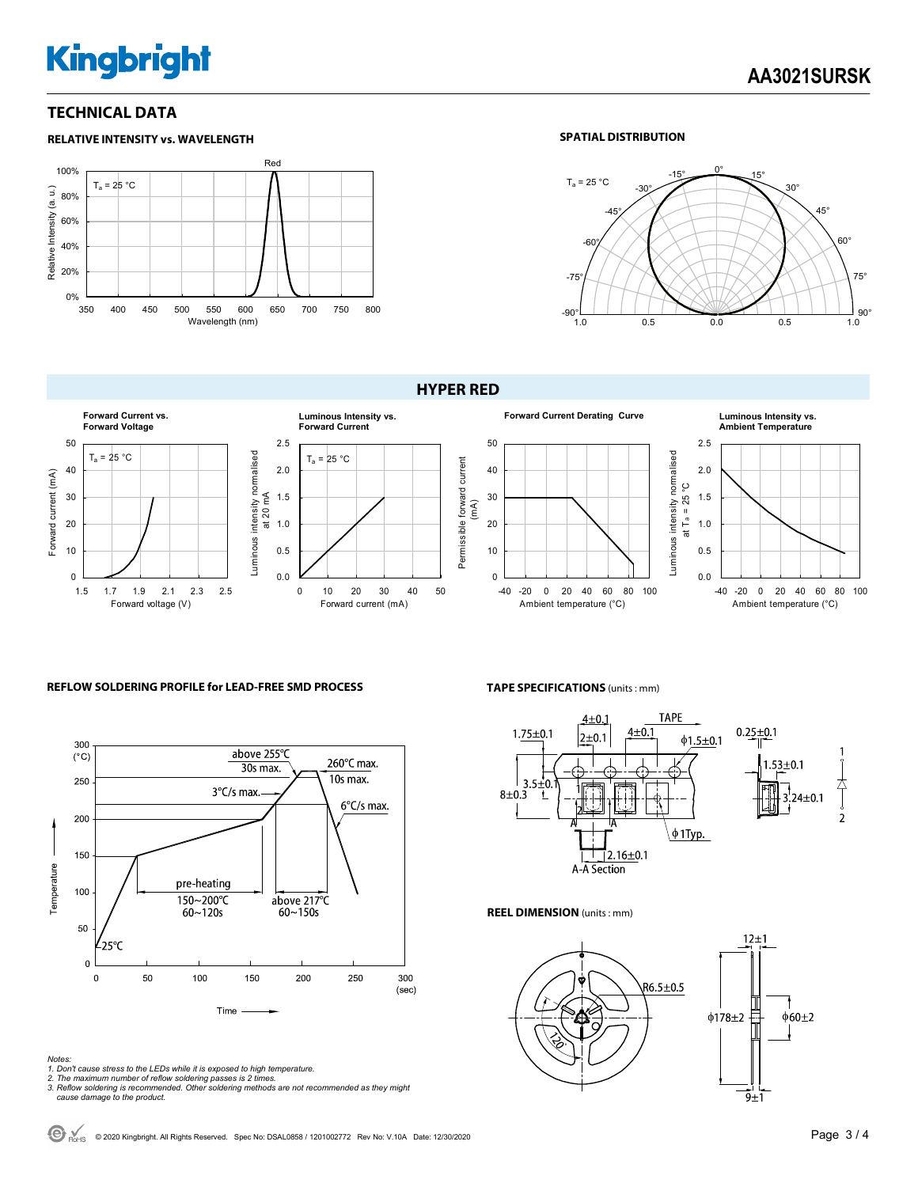# **Kingbright**

#### **TECHNICAL DATA**



#### **SPATIAL DISTRIBUTION**



#### **HYPER RED**





# **Ambient Temperature**



#### **REFLOW SOLDERING PROFILE for LEAD-FREE SMD PROCESS**



#### **TAPE SPECIFICATIONS** (units : mm)



#### **REEL DIMENSION** (units : mm)



*Notes:* 

- *1. Don't cause stress to the LEDs while it is exposed to high temperature.*
- *2. The maximum number of reflow soldering passes is 2 times. 3. Reflow soldering is recommended. Other soldering methods are not recommended as they might*
- *cause damage to the product.*